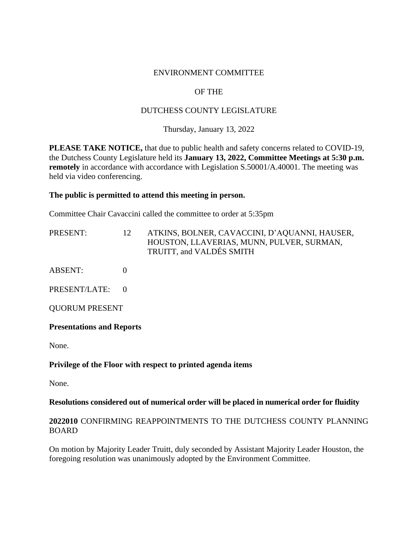## ENVIRONMENT COMMITTEE

# OF THE

## DUTCHESS COUNTY LEGISLATURE

Thursday, January 13, 2022

**PLEASE TAKE NOTICE,** that due to public health and safety concerns related to COVID-19, the Dutchess County Legislature held its **January 13, 2022, Committee Meetings at 5:30 p.m. remotely** in accordance with accordance with Legislation S.50001/A.40001. The meeting was held via video conferencing.

## **The public is permitted to attend this meeting in person.**

Committee Chair Cavaccini called the committee to order at 5:35pm

| PRESENT: | ATKINS, BOLNER, CAVACCINI, D'AQUANNI, HAUSER, |
|----------|-----------------------------------------------|
|          | HOUSTON, LLAVERIAS, MUNN, PULVER, SURMAN,     |
|          | TRUITT, and VALDÉS SMITH                      |

ABSENT: 0

PRESENT/LATE: 0

QUORUM PRESENT

### **Presentations and Reports**

None.

## **Privilege of the Floor with respect to printed agenda items**

None.

### **Resolutions considered out of numerical order will be placed in numerical order for fluidity**

## **2022010** CONFIRMING REAPPOINTMENTS TO THE DUTCHESS COUNTY PLANNING BOARD

On motion by Majority Leader Truitt, duly seconded by Assistant Majority Leader Houston, the foregoing resolution was unanimously adopted by the Environment Committee.